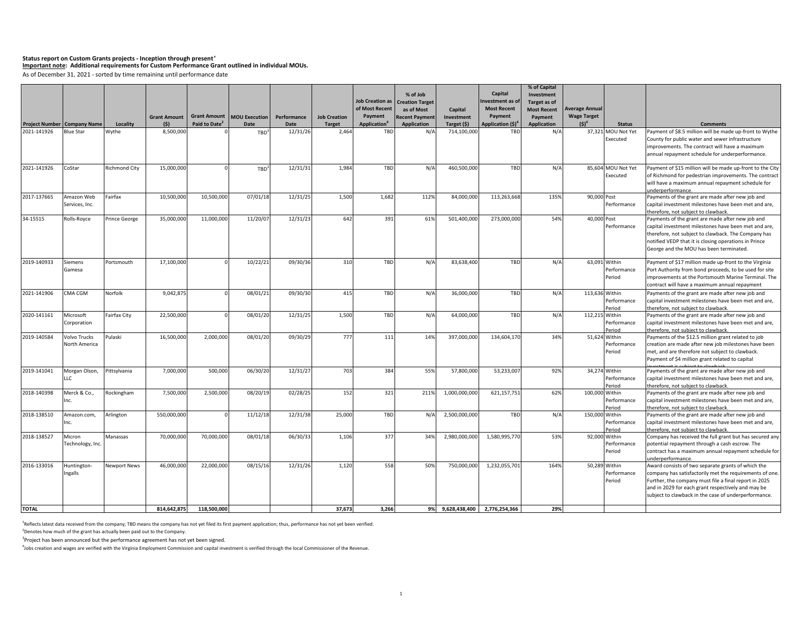# **Status report on Custom Grants projects - Inception through present<sup>1</sup> Important note: Additional requirements for Custom Performance Grant outlined in individual MOUs.**

As of December 31, 2021 - sorted by time remaining until performance date

|              |                                                        |                      |                     |                           |                                     |                  |                     |                                 | % of Job                  |                            | Capital                              | % of Capital<br>Investment |                       |                                     |                                                                                                          |
|--------------|--------------------------------------------------------|----------------------|---------------------|---------------------------|-------------------------------------|------------------|---------------------|---------------------------------|---------------------------|----------------------------|--------------------------------------|----------------------------|-----------------------|-------------------------------------|----------------------------------------------------------------------------------------------------------|
|              |                                                        |                      |                     |                           |                                     |                  |                     | <b>Job Creation as</b>          | <b>Creation Target</b>    |                            | nvestment as of                      | Target as of               |                       |                                     |                                                                                                          |
|              |                                                        |                      |                     |                           |                                     |                  |                     | of Most Recent                  | as of Most                | Capital                    | <b>Most Recent</b>                   | <b>Most Recent</b>         | <b>Average Annual</b> |                                     |                                                                                                          |
|              |                                                        |                      | <b>Grant Amount</b> | Paid to Date <sup>2</sup> | <b>Grant Amount   MOU Execution</b> | Performance      | <b>Job Creation</b> | Payment                         | <b>Recent Payment</b>     | Investment                 | Payment                              | Payment                    | <b>Wage Target</b>    |                                     |                                                                                                          |
| 2021-141926  | <b>Project Number Company Name</b><br><b>Blue Star</b> | Locality<br>Wythe    | (\$)<br>8,500,000   |                           | Date                                | Date<br>12/31/26 | Target<br>2,464     | Application <sup>4</sup><br>TBD | <b>Application</b><br>N/f | Target (\$)<br>714,100,000 | Application (\$) <sup>4</sup><br>TBD | <b>Application</b><br>N/A  | $(S)^4$               | <b>Status</b><br>37,321 MOU Not Yet | <b>Comments</b><br>Payment of \$8.5 million will be made up-front to Wythe                               |
|              |                                                        |                      |                     |                           | TBD <sup>3</sup>                    |                  |                     |                                 |                           |                            |                                      |                            |                       | Executed                            | County for public water and sewer infrastructure                                                         |
|              |                                                        |                      |                     |                           |                                     |                  |                     |                                 |                           |                            |                                      |                            |                       |                                     | improvements. The contract will have a maximum                                                           |
|              |                                                        |                      |                     |                           |                                     |                  |                     |                                 |                           |                            |                                      |                            |                       |                                     | annual repayment schedule for underperformance.                                                          |
|              |                                                        |                      |                     |                           |                                     |                  |                     |                                 |                           |                            |                                      |                            |                       |                                     |                                                                                                          |
| 2021-141926  | CoStar                                                 | <b>Richmond City</b> | 15,000,000          |                           | TBD                                 | 12/31/31         | 1,984               | TBD                             | N/A                       | 460,500,000                | TBD                                  | N/A                        |                       | 85,604 MOU Not Yet                  | Payment of \$15 million will be made up-front to the City                                                |
|              |                                                        |                      |                     |                           |                                     |                  |                     |                                 |                           |                            |                                      |                            |                       | Executed                            | of Richmond for pedestrian improvements. The contract                                                    |
|              |                                                        |                      |                     |                           |                                     |                  |                     |                                 |                           |                            |                                      |                            |                       |                                     | will have a maximum annual repayment schedule for                                                        |
| 2017-137665  | Amazon Web                                             | Fairfax              | 10,500,000          | 10,500,000                | 07/01/18                            | 12/31/25         | 1,500               | 1,682                           | 112%                      | 84,000,000                 | 113,263,668                          | 135%                       | 90,000 Post           |                                     | underperformance.<br>Payments of the grant are made after new job and                                    |
|              | Services, Inc.                                         |                      |                     |                           |                                     |                  |                     |                                 |                           |                            |                                      |                            |                       | Performance                         | capital investment milestones have been met and are,                                                     |
|              |                                                        |                      |                     |                           |                                     |                  |                     |                                 |                           |                            |                                      |                            |                       |                                     | therefore, not subject to clawback.                                                                      |
| 34-15515     | Rolls-Royce                                            | Prince George        | 35,000,000          | 11,000,000                | 11/20/07                            | 12/31/23         | 642                 | 391                             | 61%                       | 501,400,000                | 273,000,000                          | 54%                        | 40.000 Post           |                                     | Payments of the grant are made after new job and                                                         |
|              |                                                        |                      |                     |                           |                                     |                  |                     |                                 |                           |                            |                                      |                            |                       | Performance                         | capital investment milestones have been met and are,                                                     |
|              |                                                        |                      |                     |                           |                                     |                  |                     |                                 |                           |                            |                                      |                            |                       |                                     | therefore, not subject to clawback. The Company has                                                      |
|              |                                                        |                      |                     |                           |                                     |                  |                     |                                 |                           |                            |                                      |                            |                       |                                     | notified VEDP that it is closing operations in Prince                                                    |
|              |                                                        |                      |                     |                           |                                     |                  |                     |                                 |                           |                            |                                      |                            |                       |                                     | George and the MOU has been terminated.                                                                  |
| 2019-140933  | Siemens                                                | Portsmouth           | 17,100,000          |                           | 10/22/21                            | 09/30/36         | 310                 | TBD                             | N/A                       | 83,638,400                 | TBD                                  | N/A                        | 63,091 Within         |                                     | Payment of \$17 million made up-front to the Virginia                                                    |
|              | Gamesa                                                 |                      |                     |                           |                                     |                  |                     |                                 |                           |                            |                                      |                            |                       | Performance                         | Port Authority from bond proceeds, to be used for site                                                   |
|              |                                                        |                      |                     |                           |                                     |                  |                     |                                 |                           |                            |                                      |                            |                       | Period                              | improvements at the Portsmouth Marine Terminal. The                                                      |
|              |                                                        |                      |                     |                           |                                     |                  |                     |                                 |                           |                            |                                      |                            |                       |                                     | contract will have a maximum annual repayment                                                            |
| 2021-141906  | CMA CGM                                                | Norfolk              | 9,042,875           |                           | 08/01/21                            | 09/30/30         | 415                 | TBD                             | N/A                       | 36,000,000                 | TBD                                  | N/A                        | 113,636 Within        |                                     | Payments of the grant are made after new job and                                                         |
|              |                                                        |                      |                     |                           |                                     |                  |                     |                                 |                           |                            |                                      |                            |                       | Performance                         | capital investment milestones have been met and are,                                                     |
|              |                                                        |                      |                     |                           |                                     |                  |                     |                                 |                           |                            |                                      |                            |                       | Period                              | therefore, not subiect to clawback                                                                       |
| 2020-141161  | Microsoft                                              | <b>Fairfax City</b>  | 22,500,000          |                           | 08/01/20                            | 12/31/25         | 1,500               | TBD                             | N/A                       | 64,000,000                 | TBD                                  | N/A                        | 112,215 Within        |                                     | Payments of the grant are made after new job and                                                         |
|              | Corporation                                            |                      |                     |                           |                                     |                  |                     |                                 |                           |                            |                                      |                            |                       | Performance                         | capital investment milestones have been met and are,                                                     |
| 2019-140584  | Volvo Trucks                                           | Pulaski              | 16,500,000          | 2,000,000                 | 08/01/20                            | 09/30/29         | 777                 | 111                             | 14%                       | 397,000,000                | 134,604,170                          | 34%                        | 51,624 Within         | Period                              | herefore, not subject to clawback.<br>Payments of the \$12.5 million grant related to job                |
|              | North America                                          |                      |                     |                           |                                     |                  |                     |                                 |                           |                            |                                      |                            |                       | Performance                         | creation are made after new job milestones have been                                                     |
|              |                                                        |                      |                     |                           |                                     |                  |                     |                                 |                           |                            |                                      |                            |                       | Period                              | met, and are therefore not subject to clawback.                                                          |
|              |                                                        |                      |                     |                           |                                     |                  |                     |                                 |                           |                            |                                      |                            |                       |                                     | Payment of \$4 million grant related to capital                                                          |
| 2019-141041  |                                                        |                      |                     |                           |                                     |                  |                     |                                 |                           |                            |                                      |                            |                       |                                     |                                                                                                          |
|              | Morgan Olson,<br>LLC                                   | Pittsylvania         | 7,000,000           | 500,000                   | 06/30/20                            | 12/31/27         | 703                 | 384                             | 55%                       | 57,800,000                 | 53,233,007                           | 92%                        | 34,274 Within         | Performance                         | Payments of the grant are made after new job and<br>capital investment milestones have been met and are, |
|              |                                                        |                      |                     |                           |                                     |                  |                     |                                 |                           |                            |                                      |                            |                       | Period                              | therefore, not subject to clawback                                                                       |
| 2018-140398  | Merck & Co.,                                           | Rockingham           | 7,500,000           | 2,500,000                 | 08/20/19                            | 02/28/25         | 152                 | 321                             | 211%                      | 1,000,000,000              | 621,157,751                          | 62%                        | 100,000 Within        |                                     | Payments of the grant are made after new job and                                                         |
|              | Inc.                                                   |                      |                     |                           |                                     |                  |                     |                                 |                           |                            |                                      |                            |                       | Performance                         | capital investment milestones have been met and are,                                                     |
|              |                                                        |                      |                     |                           |                                     |                  |                     |                                 |                           |                            |                                      |                            |                       | Period                              | therefore, not subiect to clawback                                                                       |
| 2018-138510  | Amazon.com,                                            | Arlington            | 550,000,000         |                           | 11/12/18                            | 12/31/38         | 25,000              | TBD                             | N/f                       | 2,500,000,000              | TBD                                  | N/A                        | 150,000 Within        |                                     | Payments of the grant are made after new job and                                                         |
|              | Inc.                                                   |                      |                     |                           |                                     |                  |                     |                                 |                           |                            |                                      |                            |                       | Performance                         | capital investment milestones have been met and are,                                                     |
| 2018-138527  | Micron                                                 | Manassas             | 70,000,000          | 70,000,000                | 08/01/18                            | 06/30/33         | 1,106               | 377                             | 34%                       | 2,980,000,000              | 1,580,995,770                        | 53%                        | 92,000 Within         | Period                              | therefore, not subject to clawback<br>Company has received the full grant but has secured any            |
|              | Technology, Inc.                                       |                      |                     |                           |                                     |                  |                     |                                 |                           |                            |                                      |                            |                       | Performance                         | potential repayment through a cash escrow. The                                                           |
|              |                                                        |                      |                     |                           |                                     |                  |                     |                                 |                           |                            |                                      |                            |                       | Period                              | contract has a maximum annual repayment schedule for                                                     |
|              |                                                        |                      |                     |                           |                                     |                  |                     |                                 |                           |                            |                                      |                            |                       |                                     | inderperformance.                                                                                        |
| 2016-133016  | Huntington-                                            | <b>Newport News</b>  | 46,000,000          | 22,000,000                | 08/15/16                            | 12/31/26         | 1,120               | 558                             | 50%                       | 750,000,000                | 1,232,055,701                        | 164%                       |                       | 50,289 Within                       | Award consists of two separate grants of which the                                                       |
|              | Ingalls                                                |                      |                     |                           |                                     |                  |                     |                                 |                           |                            |                                      |                            |                       | Performance                         | company has satisfactorily met the requirements of one.                                                  |
|              |                                                        |                      |                     |                           |                                     |                  |                     |                                 |                           |                            |                                      |                            |                       | Period                              | Further, the company must file a final report in 2025                                                    |
|              |                                                        |                      |                     |                           |                                     |                  |                     |                                 |                           |                            |                                      |                            |                       |                                     | and in 2029 for each grant respectively and may be                                                       |
|              |                                                        |                      |                     |                           |                                     |                  |                     |                                 |                           |                            |                                      |                            |                       |                                     | subject to clawback in the case of underperformance.                                                     |
| <b>TOTAL</b> |                                                        |                      | 814,642,875         | 118,500,000               |                                     |                  | 37,673              | 3,266                           |                           |                            | 9% 9,628,438,400 2,776,254,366       | 29%                        |                       |                                     |                                                                                                          |

<sup>1</sup>Reflects latest data received from the company; TBD means the company has not yet filed its first payment application; thus, performance has not yet been verified.

<sup>2</sup> Denotes how much of the grant has actually been paid out to the Company.

<sup>3</sup>Project has been announced but the performance agreement has not yet been signed.

4 Jobs creation and wages are verified with the Virginia Employment Commission and capital investment is verified through the local Commissioner of the Revenue.